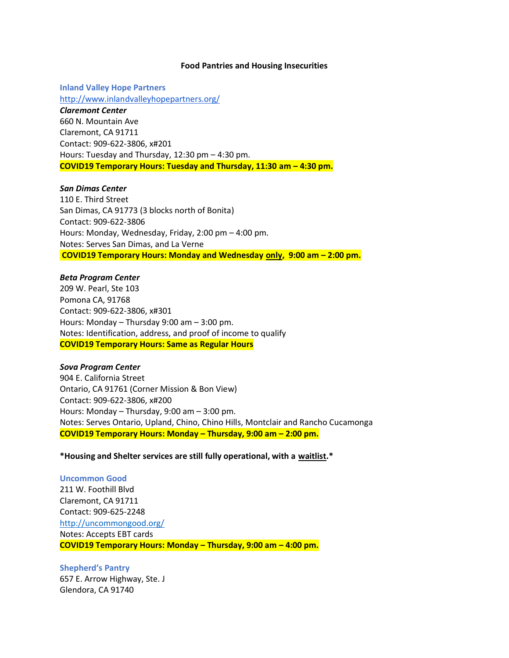#### **Food Pantries and Housing Insecurities**

**Inland Valley Hope Partners** <http://www.inlandvalleyhopepartners.org/> *Claremont Center* 660 N. Mountain Ave Claremont, CA 91711 Contact: 909-622-3806, x#201 Hours: Tuesday and Thursday, 12:30 pm – 4:30 pm. **COVID19 Temporary Hours: Tuesday and Thursday, 11:30 am – 4:30 pm.**

#### *San Dimas Center*

110 E. Third Street San Dimas, CA 91773 (3 blocks north of Bonita) Contact: 909-622-3806 Hours: Monday, Wednesday, Friday, 2:00 pm – 4:00 pm. Notes: Serves San Dimas, and La Verne **COVID19 Temporary Hours: Monday and Wednesday only, 9:00 am – 2:00 pm.**

#### *Beta Program Center*

209 W. Pearl, Ste 103 Pomona CA, 91768 Contact: 909-622-3806, x#301 Hours: Monday – Thursday 9:00 am – 3:00 pm. Notes: Identification, address, and proof of income to qualify **COVID19 Temporary Hours: Same as Regular Hours**

#### *Sova Program Center*

904 E. California Street Ontario, CA 91761 (Corner Mission & Bon View) Contact: 909-622-3806, x#200 Hours: Monday – Thursday, 9:00 am – 3:00 pm. Notes: Serves Ontario, Upland, Chino, Chino Hills, Montclair and Rancho Cucamonga **COVID19 Temporary Hours: Monday – Thursday, 9:00 am – 2:00 pm.**

### **\*Housing and Shelter services are still fully operational, with a waitlist.\***

**Uncommon Good**  211 W. Foothill Blvd Claremont, CA 91711 Contact: 909-625-2248 <http://uncommongood.org/> Notes: Accepts EBT cards **COVID19 Temporary Hours: Monday – Thursday, 9:00 am – 4:00 pm.**

**Shepherd's Pantry**  657 E. Arrow Highway, Ste. J Glendora, CA 91740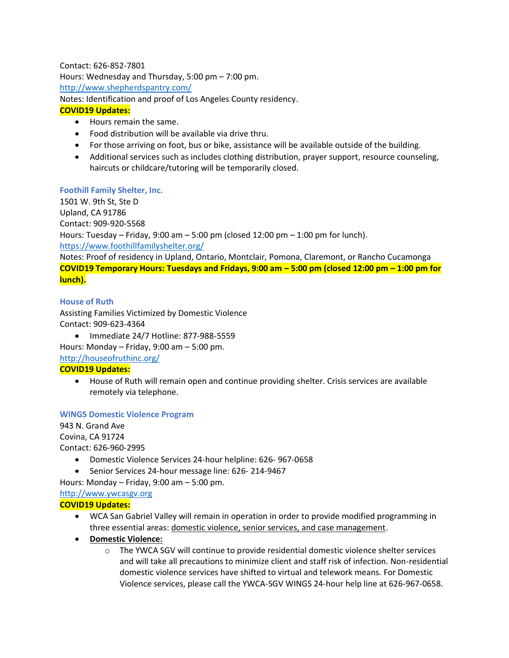Contact: 626-852-7801 Hours: Wednesday and Thursday, 5:00 pm – 7:00 pm. <http://www.shepherdspantry.com/> Notes: Identification and proof of Los Angeles County residency.

# **COVID19 Updates:**

- Hours remain the same.
- Food distribution will be available via drive thru.
- For those arriving on foot, bus or bike, assistance will be available outside of the building.
- Additional services such as includes clothing distribution, prayer support, resource counseling, haircuts or childcare/tutoring will be temporarily closed.

## **Foothill Family Shelter, Inc.**

1501 W. 9th St, Ste D Upland, CA 91786 Contact: 909-920-5568 Hours: Tuesday – Friday, 9:00 am – 5:00 pm (closed 12:00 pm – 1:00 pm for lunch). <https://www.foothillfamilyshelter.org/>

Notes: Proof of residency in Upland, Ontario, Montclair, Pomona, Claremont, or Rancho Cucamonga **COVID19 Temporary Hours: Tuesdays and Fridays, 9:00 am – 5:00 pm (closed 12:00 pm – 1:00 pm for lunch).**

## **House of Ruth**

Assisting Families Victimized by Domestic Violence Contact: 909-623-4364

• Immediate 24/7 Hotline: 877-988-5559

Hours: Monday – Friday, 9:00 am – 5:00 pm.

<http://houseofruthinc.org/>

## **COVID19 Updates:**

• House of Ruth will remain open and continue providing shelter. Crisis services are available remotely via telephone.

### **WINGS Domestic Violence Program**

943 N. Grand Ave Covina, CA 91724 Contact: 626-960-2995

- Domestic Violence Services 24-hour helpline: 626- 967-0658
- Senior Services 24-hour message line: 626- 214-9467

Hours: Monday – Friday, 9:00 am – 5:00 pm.

### [http://www.ywcasgv.org](http://www.ywcasgv.org/)

## **COVID19 Updates:**

- WCA San Gabriel Valley will remain in operation in order to provide modified programming in three essential areas: domestic violence, senior services, and case management.
- **Domestic Violence:** 
	- $\circ$  The YWCA SGV will continue to provide residential domestic violence shelter services and will take all precautions to minimize client and staff risk of infection. Non-residential domestic violence services have shifted to virtual and telework means. For Domestic Violence services, please call the YWCA-SGV WINGS 24-hour help line at 626-967-0658.